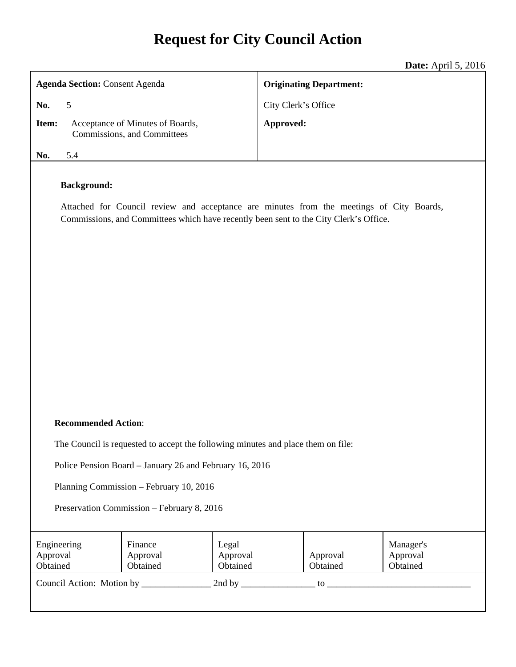# **Request for City Council Action**

**Date:** April 5, 2016

| <b>Agenda Section: Consent Agenda</b>                                                                                                                                                                   | <b>Originating Department:</b> |  |
|---------------------------------------------------------------------------------------------------------------------------------------------------------------------------------------------------------|--------------------------------|--|
| No.<br>5                                                                                                                                                                                                | City Clerk's Office            |  |
| Item:<br>Acceptance of Minutes of Boards,<br>Commissions, and Committees                                                                                                                                | Approved:                      |  |
| No.<br>5.4                                                                                                                                                                                              |                                |  |
| <b>Background:</b><br>Attached for Council review and acceptance are minutes from the meetings of City Boards,<br>Commissions, and Committees which have recently been sent to the City Clerk's Office. |                                |  |

#### **Recommended Action**:

The Council is requested to accept the following minutes and place them on file:

Police Pension Board – January 26 and February 16, 2016

Planning Commission – February 10, 2016

Preservation Commission – February 8, 2016

| Engineering<br>Approval<br>Obtained | Finance<br>Approval<br>Obtained | Legal<br>Approval<br>Obtained | Approval<br>Obtained | Manager's<br>Approval<br>Obtained |
|-------------------------------------|---------------------------------|-------------------------------|----------------------|-----------------------------------|
| Council Action: Motion by           |                                 | 2nd by                        | tο                   |                                   |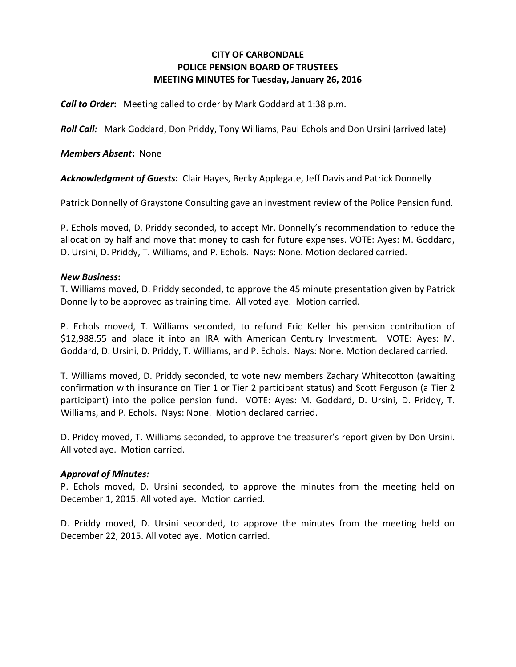## **CITY OF CARBONDALE POLICE PENSION BOARD OF TRUSTEES MEETING MINUTES for Tuesday, January 26, 2016**

*Call to Order***:**  Meeting called to order by Mark Goddard at 1:38 p.m.

*Roll Call:*  Mark Goddard, Don Priddy, Tony Williams, Paul Echols and Don Ursini (arrived late)

### *Members Absent: None*

*Acknowledgment of Guests***:** Clair Hayes, Becky Applegate, Jeff Davis and Patrick Donnelly

Patrick Donnelly of Graystone Consulting gave an investment review of the Police Pension fund.

P. Echols moved, D. Priddy seconded, to accept Mr. Donnelly's recommendation to reduce the allocation by half and move that money to cash for future expenses. VOTE: Ayes: M. Goddard, D. Ursini, D. Priddy, T. Williams, and P. Echols. Nays: None. Motion declared carried.

#### *New Business***:**

T. Williams moved, D. Priddy seconded, to approve the 45 minute presentation given by Patrick Donnelly to be approved as training time. All voted aye. Motion carried.

P. Echols moved, T. Williams seconded, to refund Eric Keller his pension contribution of \$12,988.55 and place it into an IRA with American Century Investment. VOTE: Ayes: M. Goddard, D. Ursini, D. Priddy, T. Williams, and P. Echols. Nays: None. Motion declared carried.

T. Williams moved, D. Priddy seconded, to vote new members Zachary Whitecotton (awaiting confirmation with insurance on Tier 1 or Tier 2 participant status) and Scott Ferguson (a Tier 2 participant) into the police pension fund. VOTE: Ayes: M. Goddard, D. Ursini, D. Priddy, T. Williams, and P. Echols. Nays: None. Motion declared carried.

D. Priddy moved, T. Williams seconded, to approve the treasurer's report given by Don Ursini. All voted aye. Motion carried.

## *Approval of Minutes:*

P. Echols moved, D. Ursini seconded, to approve the minutes from the meeting held on December 1, 2015. All voted aye. Motion carried.

D. Priddy moved, D. Ursini seconded, to approve the minutes from the meeting held on December 22, 2015. All voted aye. Motion carried.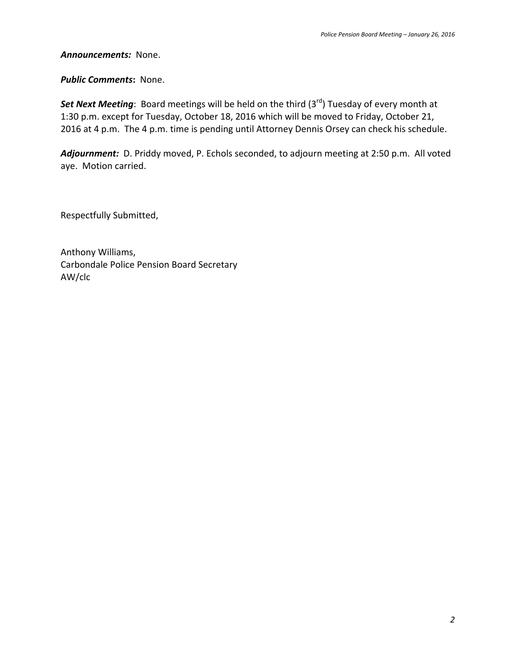#### *Announcements:* None.

#### *Public Comments: None.*

**Set Next Meeting**: Board meetings will be held on the third (3<sup>rd</sup>) Tuesday of every month at 1:30 p.m. except for Tuesday, October 18, 2016 which will be moved to Friday, October 21, 2016 at 4 p.m. The 4 p.m. time is pending until Attorney Dennis Orsey can check his schedule.

*Adjournment:* D. Priddy moved, P. Echols seconded, to adjourn meeting at 2:50 p.m. All voted aye. Motion carried.

Respectfully Submitted,

Anthony Williams, Carbondale Police Pension Board Secretary AW/clc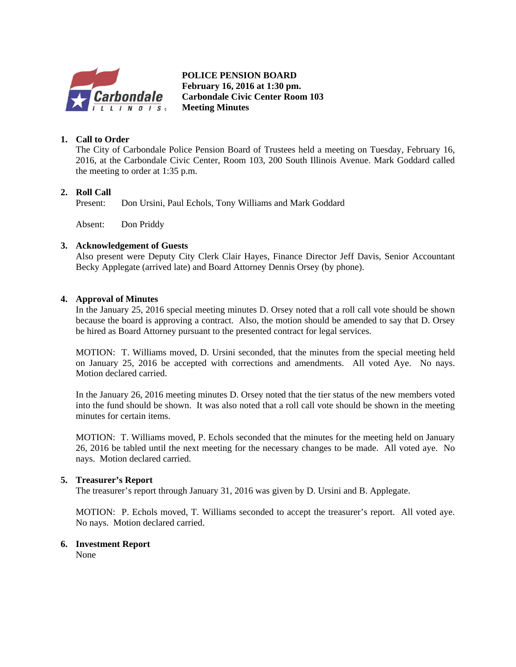

**POLICE PENSION BOARD February 16, 2016 at 1:30 pm. Carbondale Civic Center Room 103 Meeting Minutes** 

## **1. Call to Order**

The City of Carbondale Police Pension Board of Trustees held a meeting on Tuesday, February 16, 2016, at the Carbondale Civic Center, Room 103, 200 South Illinois Avenue. Mark Goddard called the meeting to order at 1:35 p.m.

## **2. Roll Call**

Present: Don Ursini, Paul Echols, Tony Williams and Mark Goddard

Absent: Don Priddy

#### **3. Acknowledgement of Guests**

Also present were Deputy City Clerk Clair Hayes, Finance Director Jeff Davis, Senior Accountant Becky Applegate (arrived late) and Board Attorney Dennis Orsey (by phone).

#### **4. Approval of Minutes**

 In the January 25, 2016 special meeting minutes D. Orsey noted that a roll call vote should be shown because the board is approving a contract. Also, the motion should be amended to say that D. Orsey be hired as Board Attorney pursuant to the presented contract for legal services.

MOTION: T. Williams moved, D. Ursini seconded, that the minutes from the special meeting held on January 25, 2016 be accepted with corrections and amendments. All voted Aye. No nays. Motion declared carried.

In the January 26, 2016 meeting minutes D. Orsey noted that the tier status of the new members voted into the fund should be shown. It was also noted that a roll call vote should be shown in the meeting minutes for certain items.

MOTION: T. Williams moved, P. Echols seconded that the minutes for the meeting held on January 26, 2016 be tabled until the next meeting for the necessary changes to be made. All voted aye. No nays. Motion declared carried.

#### **5. Treasurer's Report**

The treasurer's report through January 31, 2016 was given by D. Ursini and B. Applegate.

MOTION: P. Echols moved, T. Williams seconded to accept the treasurer's report. All voted aye. No nays. Motion declared carried.

#### **6. Investment Report**

None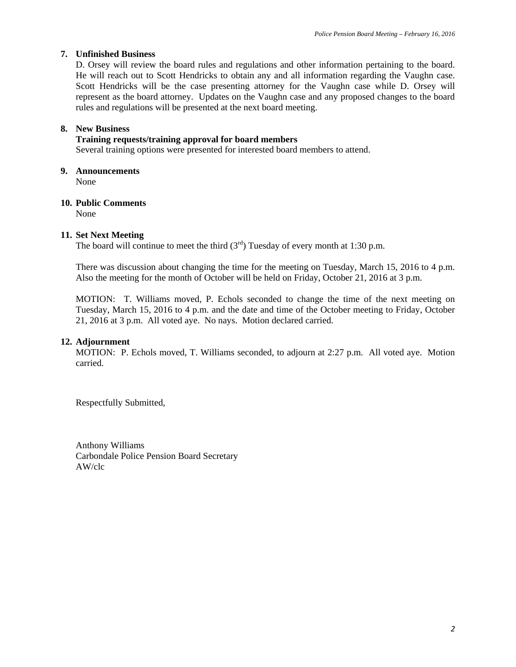#### **7. Unfinished Business**

D. Orsey will review the board rules and regulations and other information pertaining to the board. He will reach out to Scott Hendricks to obtain any and all information regarding the Vaughn case. Scott Hendricks will be the case presenting attorney for the Vaughn case while D. Orsey will represent as the board attorney. Updates on the Vaughn case and any proposed changes to the board rules and regulations will be presented at the next board meeting.

#### **8. New Business**

#### **Training requests/training approval for board members**

Several training options were presented for interested board members to attend.

#### **9. Announcements**

None

#### **10. Public Comments**

None

#### **11. Set Next Meeting**

The board will continue to meet the third  $(3<sup>rd</sup>)$  Tuesday of every month at 1:30 p.m.

There was discussion about changing the time for the meeting on Tuesday, March 15, 2016 to 4 p.m. Also the meeting for the month of October will be held on Friday, October 21, 2016 at 3 p.m.

MOTION: T. Williams moved, P. Echols seconded to change the time of the next meeting on Tuesday, March 15, 2016 to 4 p.m. and the date and time of the October meeting to Friday, October 21, 2016 at 3 p.m. All voted aye. No nays. Motion declared carried.

#### **12. Adjournment**

MOTION: P. Echols moved, T. Williams seconded, to adjourn at 2:27 p.m. All voted aye. Motion carried.

Respectfully Submitted,

Anthony Williams Carbondale Police Pension Board Secretary AW/clc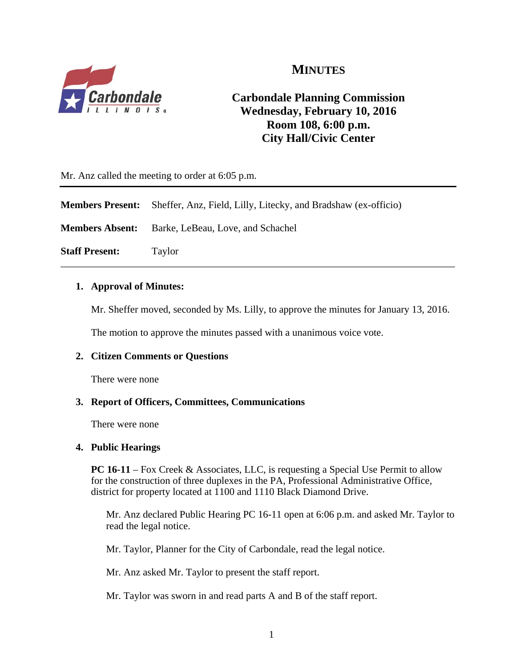

## **MINUTES**

## **Carbondale Planning Commission Wednesday, February 10, 2016 Room 108, 6:00 p.m. City Hall/Civic Center**

Mr. Anz called the meeting to order at 6:05 p.m.

|                        | <b>Members Present:</b> Sheffer, Anz, Field, Lilly, Litecky, and Bradshaw (ex-officio) |
|------------------------|----------------------------------------------------------------------------------------|
| <b>Members Absent:</b> | Barke, LeBeau, Love, and Schachel                                                      |
| <b>Staff Present:</b>  | Taylor                                                                                 |

## **1. Approval of Minutes:**

Mr. Sheffer moved, seconded by Ms. Lilly, to approve the minutes for January 13, 2016.

The motion to approve the minutes passed with a unanimous voice vote.

## **2. Citizen Comments or Questions**

There were none

## **3. Report of Officers, Committees, Communications**

There were none

## **4. Public Hearings**

**PC 16-11** – Fox Creek & Associates, LLC, is requesting a Special Use Permit to allow for the construction of three duplexes in the PA, Professional Administrative Office, district for property located at 1100 and 1110 Black Diamond Drive.

Mr. Anz declared Public Hearing PC 16-11 open at 6:06 p.m. and asked Mr. Taylor to read the legal notice.

Mr. Taylor, Planner for the City of Carbondale, read the legal notice.

Mr. Anz asked Mr. Taylor to present the staff report.

Mr. Taylor was sworn in and read parts A and B of the staff report.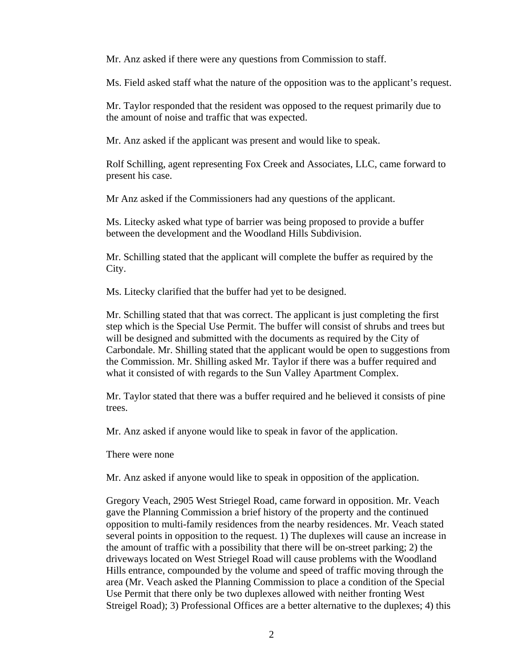Mr. Anz asked if there were any questions from Commission to staff.

Ms. Field asked staff what the nature of the opposition was to the applicant's request.

Mr. Taylor responded that the resident was opposed to the request primarily due to the amount of noise and traffic that was expected.

Mr. Anz asked if the applicant was present and would like to speak.

Rolf Schilling, agent representing Fox Creek and Associates, LLC, came forward to present his case.

Mr Anz asked if the Commissioners had any questions of the applicant.

Ms. Litecky asked what type of barrier was being proposed to provide a buffer between the development and the Woodland Hills Subdivision.

Mr. Schilling stated that the applicant will complete the buffer as required by the City.

Ms. Litecky clarified that the buffer had yet to be designed.

Mr. Schilling stated that that was correct. The applicant is just completing the first step which is the Special Use Permit. The buffer will consist of shrubs and trees but will be designed and submitted with the documents as required by the City of Carbondale. Mr. Shilling stated that the applicant would be open to suggestions from the Commission. Mr. Shilling asked Mr. Taylor if there was a buffer required and what it consisted of with regards to the Sun Valley Apartment Complex.

Mr. Taylor stated that there was a buffer required and he believed it consists of pine trees.

Mr. Anz asked if anyone would like to speak in favor of the application.

There were none

Mr. Anz asked if anyone would like to speak in opposition of the application.

Gregory Veach, 2905 West Striegel Road, came forward in opposition. Mr. Veach gave the Planning Commission a brief history of the property and the continued opposition to multi-family residences from the nearby residences. Mr. Veach stated several points in opposition to the request. 1) The duplexes will cause an increase in the amount of traffic with a possibility that there will be on-street parking; 2) the driveways located on West Striegel Road will cause problems with the Woodland Hills entrance, compounded by the volume and speed of traffic moving through the area (Mr. Veach asked the Planning Commission to place a condition of the Special Use Permit that there only be two duplexes allowed with neither fronting West Streigel Road); 3) Professional Offices are a better alternative to the duplexes; 4) this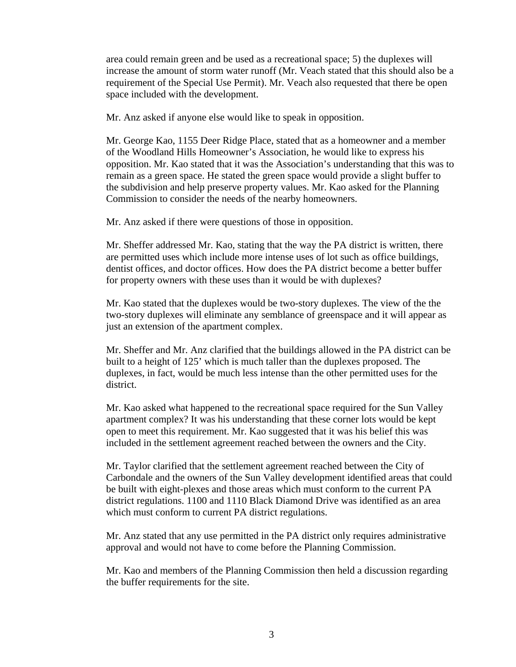area could remain green and be used as a recreational space; 5) the duplexes will increase the amount of storm water runoff (Mr. Veach stated that this should also be a requirement of the Special Use Permit). Mr. Veach also requested that there be open space included with the development.

Mr. Anz asked if anyone else would like to speak in opposition.

Mr. George Kao, 1155 Deer Ridge Place, stated that as a homeowner and a member of the Woodland Hills Homeowner's Association, he would like to express his opposition. Mr. Kao stated that it was the Association's understanding that this was to remain as a green space. He stated the green space would provide a slight buffer to the subdivision and help preserve property values. Mr. Kao asked for the Planning Commission to consider the needs of the nearby homeowners.

Mr. Anz asked if there were questions of those in opposition.

Mr. Sheffer addressed Mr. Kao, stating that the way the PA district is written, there are permitted uses which include more intense uses of lot such as office buildings, dentist offices, and doctor offices. How does the PA district become a better buffer for property owners with these uses than it would be with duplexes?

Mr. Kao stated that the duplexes would be two-story duplexes. The view of the the two-story duplexes will eliminate any semblance of greenspace and it will appear as just an extension of the apartment complex.

Mr. Sheffer and Mr. Anz clarified that the buildings allowed in the PA district can be built to a height of 125' which is much taller than the duplexes proposed. The duplexes, in fact, would be much less intense than the other permitted uses for the district.

Mr. Kao asked what happened to the recreational space required for the Sun Valley apartment complex? It was his understanding that these corner lots would be kept open to meet this requirement. Mr. Kao suggested that it was his belief this was included in the settlement agreement reached between the owners and the City.

Mr. Taylor clarified that the settlement agreement reached between the City of Carbondale and the owners of the Sun Valley development identified areas that could be built with eight-plexes and those areas which must conform to the current PA district regulations. 1100 and 1110 Black Diamond Drive was identified as an area which must conform to current PA district regulations.

Mr. Anz stated that any use permitted in the PA district only requires administrative approval and would not have to come before the Planning Commission.

Mr. Kao and members of the Planning Commission then held a discussion regarding the buffer requirements for the site.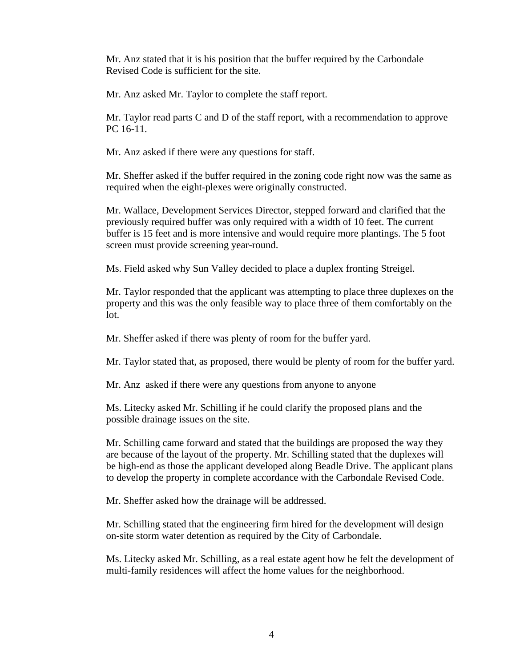Mr. Anz stated that it is his position that the buffer required by the Carbondale Revised Code is sufficient for the site.

Mr. Anz asked Mr. Taylor to complete the staff report.

Mr. Taylor read parts C and D of the staff report, with a recommendation to approve PC 16-11.

Mr. Anz asked if there were any questions for staff.

Mr. Sheffer asked if the buffer required in the zoning code right now was the same as required when the eight-plexes were originally constructed.

Mr. Wallace, Development Services Director, stepped forward and clarified that the previously required buffer was only required with a width of 10 feet. The current buffer is 15 feet and is more intensive and would require more plantings. The 5 foot screen must provide screening year-round.

Ms. Field asked why Sun Valley decided to place a duplex fronting Streigel.

Mr. Taylor responded that the applicant was attempting to place three duplexes on the property and this was the only feasible way to place three of them comfortably on the lot.

Mr. Sheffer asked if there was plenty of room for the buffer yard.

Mr. Taylor stated that, as proposed, there would be plenty of room for the buffer yard.

Mr. Anz asked if there were any questions from anyone to anyone

Ms. Litecky asked Mr. Schilling if he could clarify the proposed plans and the possible drainage issues on the site.

Mr. Schilling came forward and stated that the buildings are proposed the way they are because of the layout of the property. Mr. Schilling stated that the duplexes will be high-end as those the applicant developed along Beadle Drive. The applicant plans to develop the property in complete accordance with the Carbondale Revised Code.

Mr. Sheffer asked how the drainage will be addressed.

Mr. Schilling stated that the engineering firm hired for the development will design on-site storm water detention as required by the City of Carbondale.

Ms. Litecky asked Mr. Schilling, as a real estate agent how he felt the development of multi-family residences will affect the home values for the neighborhood.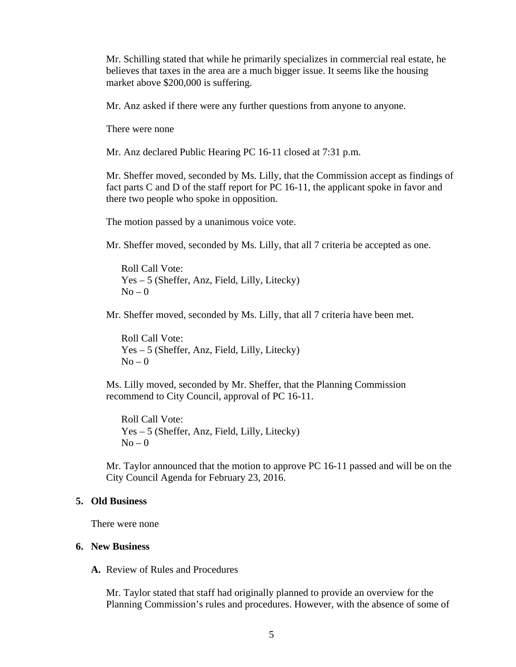Mr. Schilling stated that while he primarily specializes in commercial real estate, he believes that taxes in the area are a much bigger issue. It seems like the housing market above \$200,000 is suffering.

Mr. Anz asked if there were any further questions from anyone to anyone.

There were none

Mr. Anz declared Public Hearing PC 16-11 closed at 7:31 p.m.

Mr. Sheffer moved, seconded by Ms. Lilly, that the Commission accept as findings of fact parts C and D of the staff report for PC 16-11, the applicant spoke in favor and there two people who spoke in opposition.

The motion passed by a unanimous voice vote.

Mr. Sheffer moved, seconded by Ms. Lilly, that all 7 criteria be accepted as one.

Roll Call Vote: Yes – 5 (Sheffer, Anz, Field, Lilly, Litecky)  $No - 0$ 

Mr. Sheffer moved, seconded by Ms. Lilly, that all 7 criteria have been met.

Roll Call Vote: Yes – 5 (Sheffer, Anz, Field, Lilly, Litecky)  $No - 0$ 

Ms. Lilly moved, seconded by Mr. Sheffer, that the Planning Commission recommend to City Council, approval of PC 16-11.

Roll Call Vote: Yes – 5 (Sheffer, Anz, Field, Lilly, Litecky)  $No - 0$ 

Mr. Taylor announced that the motion to approve PC 16-11 passed and will be on the City Council Agenda for February 23, 2016.

#### **5. Old Business**

There were none

#### **6. New Business**

**A.** Review of Rules and Procedures

Mr. Taylor stated that staff had originally planned to provide an overview for the Planning Commission's rules and procedures. However, with the absence of some of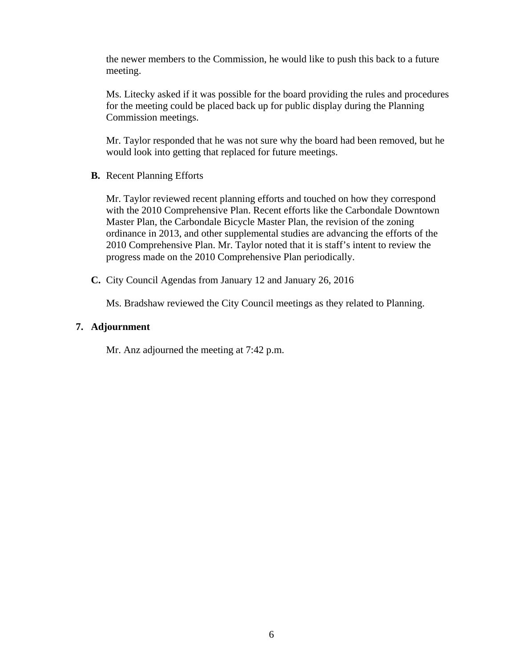the newer members to the Commission, he would like to push this back to a future meeting.

Ms. Litecky asked if it was possible for the board providing the rules and procedures for the meeting could be placed back up for public display during the Planning Commission meetings.

Mr. Taylor responded that he was not sure why the board had been removed, but he would look into getting that replaced for future meetings.

**B.** Recent Planning Efforts

Mr. Taylor reviewed recent planning efforts and touched on how they correspond with the 2010 Comprehensive Plan. Recent efforts like the Carbondale Downtown Master Plan, the Carbondale Bicycle Master Plan, the revision of the zoning ordinance in 2013, and other supplemental studies are advancing the efforts of the 2010 Comprehensive Plan. Mr. Taylor noted that it is staff's intent to review the progress made on the 2010 Comprehensive Plan periodically.

**C.** City Council Agendas from January 12 and January 26, 2016

Ms. Bradshaw reviewed the City Council meetings as they related to Planning.

## **7. Adjournment**

Mr. Anz adjourned the meeting at 7:42 p.m.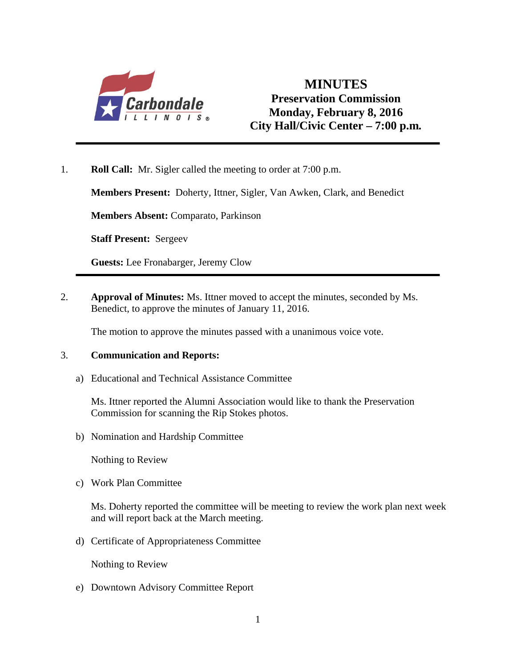

## **MINUTES Preservation Commission Monday, February 8, 2016 City Hall/Civic Center – 7:00 p.m***.*

1. **Roll Call:** Mr. Sigler called the meeting to order at 7:00 p.m.

**Members Present:** Doherty, Ittner, Sigler, Van Awken, Clark, and Benedict

**Members Absent:** Comparato, Parkinson

**Staff Present:** Sergeev

**Guests:** Lee Fronabarger, Jeremy Clow

2. **Approval of Minutes:** Ms. Ittner moved to accept the minutes, seconded by Ms. Benedict, to approve the minutes of January 11, 2016.

The motion to approve the minutes passed with a unanimous voice vote.

## 3. **Communication and Reports:**

a) Educational and Technical Assistance Committee

Ms. Ittner reported the Alumni Association would like to thank the Preservation Commission for scanning the Rip Stokes photos.

b) Nomination and Hardship Committee

Nothing to Review

c) Work Plan Committee

 Ms. Doherty reported the committee will be meeting to review the work plan next week and will report back at the March meeting.

d) Certificate of Appropriateness Committee

Nothing to Review

e) Downtown Advisory Committee Report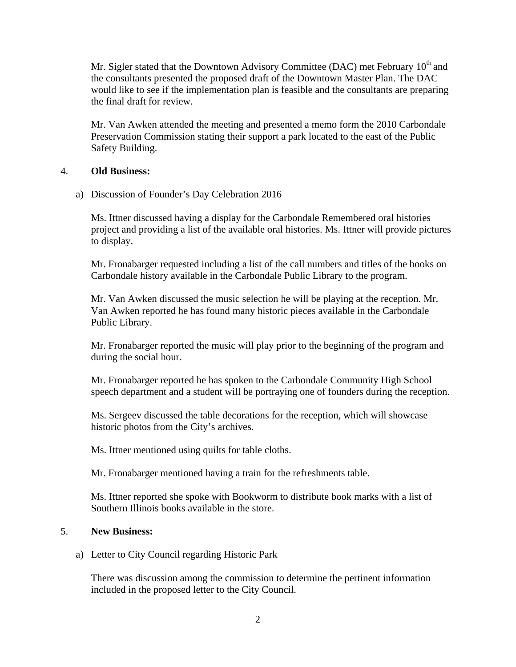Mr. Sigler stated that the Downtown Advisory Committee (DAC) met February  $10<sup>th</sup>$  and the consultants presented the proposed draft of the Downtown Master Plan. The DAC would like to see if the implementation plan is feasible and the consultants are preparing the final draft for review.

Mr. Van Awken attended the meeting and presented a memo form the 2010 Carbondale Preservation Commission stating their support a park located to the east of the Public Safety Building.

## 4. **Old Business:**

a) Discussion of Founder's Day Celebration 2016

Ms. Ittner discussed having a display for the Carbondale Remembered oral histories project and providing a list of the available oral histories. Ms. Ittner will provide pictures to display.

Mr. Fronabarger requested including a list of the call numbers and titles of the books on Carbondale history available in the Carbondale Public Library to the program.

Mr. Van Awken discussed the music selection he will be playing at the reception. Mr. Van Awken reported he has found many historic pieces available in the Carbondale Public Library.

Mr. Fronabarger reported the music will play prior to the beginning of the program and during the social hour.

Mr. Fronabarger reported he has spoken to the Carbondale Community High School speech department and a student will be portraying one of founders during the reception.

Ms. Sergeev discussed the table decorations for the reception, which will showcase historic photos from the City's archives.

Ms. Ittner mentioned using quilts for table cloths.

Mr. Fronabarger mentioned having a train for the refreshments table.

Ms. Ittner reported she spoke with Bookworm to distribute book marks with a list of Southern Illinois books available in the store.

## 5. **New Business:**

a) Letter to City Council regarding Historic Park

There was discussion among the commission to determine the pertinent information included in the proposed letter to the City Council.